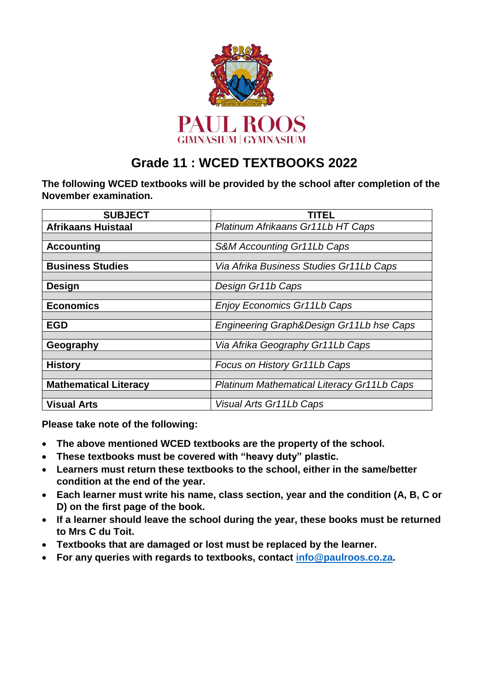

## **Grade 11 : WCED TEXTBOOKS 2022**

**The following WCED textbooks will be provided by the school after completion of the November examination.**

| <b>SUBJECT</b>               | <b>TITEL</b>                               |  |
|------------------------------|--------------------------------------------|--|
| <b>Afrikaans Huistaal</b>    | Platinum Afrikaans Gr11Lb HT Caps          |  |
|                              |                                            |  |
| <b>Accounting</b>            | S&M Accounting Gr11Lb Caps                 |  |
|                              |                                            |  |
| <b>Business Studies</b>      | Via Afrika Business Studies Gr11Lb Caps    |  |
|                              |                                            |  |
| Design                       | Design Gr11b Caps                          |  |
|                              |                                            |  |
| <b>Economics</b>             | Enjoy Economics Gr11Lb Caps                |  |
|                              |                                            |  |
| <b>EGD</b>                   | Engineering Graph&Design Gr11Lb hse Caps   |  |
|                              |                                            |  |
| Geography                    | Via Afrika Geography Gr11Lb Caps           |  |
|                              |                                            |  |
| <b>History</b>               | Focus on History Gr11Lb Caps               |  |
|                              |                                            |  |
| <b>Mathematical Literacy</b> | Platinum Mathematical Literacy Gr11Lb Caps |  |
|                              |                                            |  |
| <b>Visual Arts</b>           | Visual Arts Gr11Lb Caps                    |  |

**Please take note of the following:**

- **The above mentioned WCED textbooks are the property of the school.**
- **These textbooks must be covered with "heavy duty" plastic.**
- **Learners must return these textbooks to the school, either in the same/better condition at the end of the year.**
- **Each learner must write his name, class section, year and the condition (A, B, C or D) on the first page of the book.**
- **If a learner should leave the school during the year, these books must be returned to Mrs C du Toit.**
- **Textbooks that are damaged or lost must be replaced by the learner.**
- **For any queries with regards to textbooks, contact [info@paulroos.co.za.](mailto:info@paulroos.co.za)**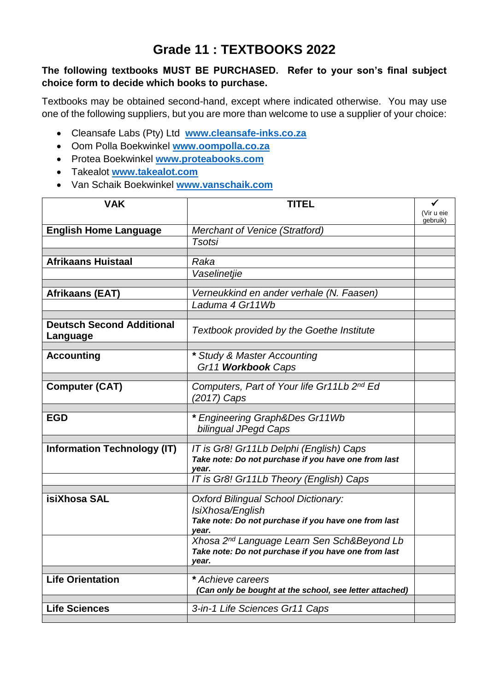### **Grade 11 : TEXTBOOKS 2022**

### **The following textbooks MUST BE PURCHASED. Refer to your son's final subject choice form to decide which books to purchase.**

Textbooks may be obtained second-hand, except where indicated otherwise. You may use one of the following suppliers, but you are more than welcome to use a supplier of your choice:

- Cleansafe Labs (Pty) Ltd **[www.cleansafe-inks.co.za](http://www.cleansafe-inks.co.za/)**
- Oom Polla Boekwinkel **[www.oompolla.co.za](http://www.oompolla.co.za/)**
- Protea Boekwinkel **[www.proteabooks.com](http://www.proteabooks.com/)**
- Takealot **[www.takealot.com](http://www.takealot.com/)**
- Van Schaik Boekwinkel **[www.vanschaik.com](http://www.vanschaik.com/)**

| <b>VAK</b>                                   | <b>TITEL</b>                                                                                                   |                        |
|----------------------------------------------|----------------------------------------------------------------------------------------------------------------|------------------------|
|                                              |                                                                                                                | (Vir u eie<br>gebruik) |
| <b>English Home Language</b>                 | <b>Merchant of Venice (Stratford)</b>                                                                          |                        |
|                                              | <b>Tsotsi</b>                                                                                                  |                        |
| <b>Afrikaans Huistaal</b>                    | Raka                                                                                                           |                        |
|                                              | Vaselinetjie                                                                                                   |                        |
|                                              |                                                                                                                |                        |
| Afrikaans (EAT)                              | Verneukkind en ander verhale (N. Faasen)                                                                       |                        |
|                                              | Laduma 4 Gr11Wb                                                                                                |                        |
| <b>Deutsch Second Additional</b><br>Language | <b>Textbook provided by the Goethe Institute</b>                                                               |                        |
| <b>Accounting</b>                            | * Study & Master Accounting                                                                                    |                        |
|                                              | Gr11 Workbook Caps                                                                                             |                        |
|                                              |                                                                                                                |                        |
| <b>Computer (CAT)</b>                        | Computers, Part of Your life Gr11Lb 2nd Ed<br>(2017) Caps                                                      |                        |
|                                              |                                                                                                                |                        |
| <b>EGD</b>                                   | * Engineering Graph&Des Gr11Wb                                                                                 |                        |
|                                              | bilingual JPegd Caps                                                                                           |                        |
| <b>Information Technology (IT)</b>           | IT is Gr8! Gr11Lb Delphi (English) Caps                                                                        |                        |
|                                              | Take note: Do not purchase if you have one from last<br>year.                                                  |                        |
|                                              | IT is Gr8! Gr11Lb Theory (English) Caps                                                                        |                        |
| isiXhosa SAL                                 | Oxford Bilingual School Dictionary:                                                                            |                        |
|                                              | IsiXhosa/English                                                                                               |                        |
|                                              | Take note: Do not purchase if you have one from last                                                           |                        |
|                                              | year.                                                                                                          |                        |
|                                              | Xhosa 2 <sup>nd</sup> Language Learn Sen Sch&Beyond Lb<br>Take note: Do not purchase if you have one from last |                        |
|                                              | year.                                                                                                          |                        |
| <b>Life Orientation</b>                      | * Achieve careers                                                                                              |                        |
|                                              | (Can only be bought at the school, see letter attached)                                                        |                        |
|                                              |                                                                                                                |                        |
| <b>Life Sciences</b>                         | 3-in-1 Life Sciences Gr11 Caps                                                                                 |                        |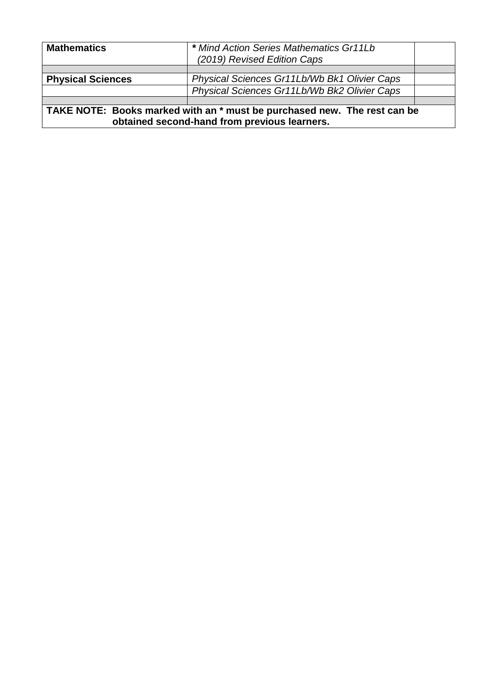| <b>Mathematics</b>                                                                                                       | * Mind Action Series Mathematics Gr11Lb<br>(2019) Revised Edition Caps |  |
|--------------------------------------------------------------------------------------------------------------------------|------------------------------------------------------------------------|--|
|                                                                                                                          |                                                                        |  |
| <b>Physical Sciences</b>                                                                                                 | Physical Sciences Gr11Lb/Wb Bk1 Olivier Caps                           |  |
|                                                                                                                          | Physical Sciences Gr11Lb/Wb Bk2 Olivier Caps                           |  |
|                                                                                                                          |                                                                        |  |
| TAKE NOTE: Books marked with an * must be purchased new. The rest can be<br>obtained second-hand from previous learners. |                                                                        |  |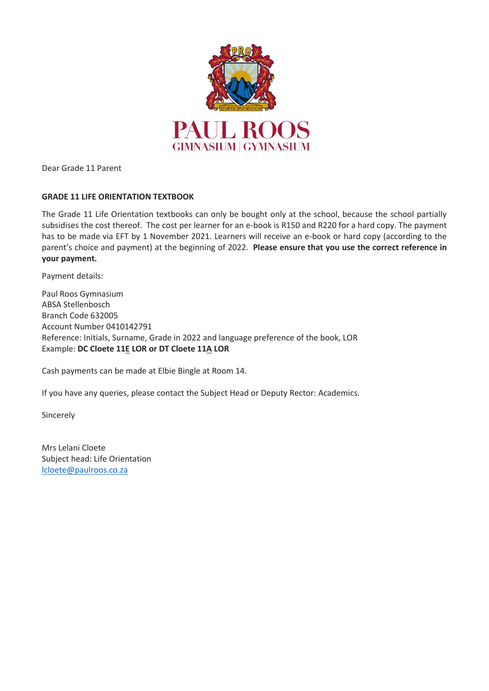

Dear Grade 11 Parent

#### **GRADE 11 LIFE ORIENTATION TEXTBOOK**

The Grade 11 Life Orientation textbooks can only be bought only at the school, because the school partially subsidises the cost thereof. The cost per learner for an e-book is R150 and R220 for a hard copy. The payment has to be made via EFT by 1 November 2021. Learners will receive an e-book or hard copy (according to the parent's choice and payment) at the beginning of 2022. **Please ensure that you use the correct reference in your payment.**

Payment details:

Paul Roos Gymnasium ABSA Stellenbosch Branch Code 632005 Account Number 0410142791 Reference: Initials, Surname, Grade in 2022 and language preference of the book, LOR Example: **DC Cloete 11E LOR or DT Cloete 11A LOR**

Cash payments can be made at Elbie Bingle at Room 14.

If you have any queries, please contact the Subject Head or Deputy Rector: Academics.

Sincerely

Mrs Lelani Cloete Subject head: Life Orientation [lcloete@paulroos.co.za](mailto:lcloete@paulroos.co.za)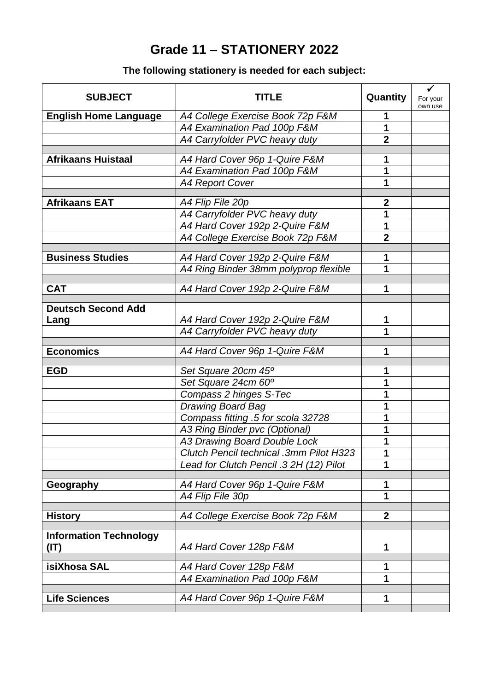# **Grade 11 – STATIONERY 2022**

### **The following stationery is needed for each subject:**

| <b>SUBJECT</b>                        | TITLE                                   | Quantity         | $\checkmark$<br>For your<br>own use |
|---------------------------------------|-----------------------------------------|------------------|-------------------------------------|
| <b>English Home Language</b>          | A4 College Exercise Book 72p F&M        |                  |                                     |
|                                       | A4 Examination Pad 100p F&M             | 1                |                                     |
|                                       | A4 Carryfolder PVC heavy duty           | $\overline{2}$   |                                     |
| <b>Afrikaans Huistaal</b>             | A4 Hard Cover 96p 1-Quire F&M           | 1                |                                     |
|                                       | A4 Examination Pad 100p F&M             | 1                |                                     |
|                                       | <b>A4 Report Cover</b>                  | 1                |                                     |
|                                       |                                         |                  |                                     |
| <b>Afrikaans EAT</b>                  | A4 Flip File 20p                        | $\boldsymbol{2}$ |                                     |
|                                       | A4 Carryfolder PVC heavy duty           | 1                |                                     |
|                                       | A4 Hard Cover 192p 2-Quire F&M          | 1                |                                     |
|                                       | A4 College Exercise Book 72p F&M        | $\overline{2}$   |                                     |
| <b>Business Studies</b>               | A4 Hard Cover 192p 2-Quire F&M          | 1                |                                     |
|                                       | A4 Ring Binder 38mm polyprop flexible   | 1                |                                     |
| <b>CAT</b>                            | A4 Hard Cover 192p 2-Quire F&M          | 1                |                                     |
|                                       |                                         |                  |                                     |
| <b>Deutsch Second Add</b>             |                                         |                  |                                     |
| Lang                                  | A4 Hard Cover 192p 2-Quire F&M          |                  |                                     |
|                                       | A4 Carryfolder PVC heavy duty           | 1                |                                     |
|                                       |                                         |                  |                                     |
| <b>Economics</b>                      | A4 Hard Cover 96p 1-Quire F&M           | 1                |                                     |
| <b>EGD</b>                            | Set Square 20cm 45°                     | 1                |                                     |
|                                       | Set Square 24cm 60°                     | 1                |                                     |
|                                       | Compass 2 hinges S-Tec                  |                  |                                     |
|                                       | <b>Drawing Board Bag</b>                | 1                |                                     |
|                                       | Compass fitting .5 for scola 32728      | 1                |                                     |
|                                       | A3 Ring Binder pvc (Optional)           |                  |                                     |
|                                       | A3 Drawing Board Double Lock            |                  |                                     |
|                                       | Clutch Pencil technical .3mm Pilot H323 | Ί                |                                     |
|                                       | Lead for Clutch Pencil .3 2H (12) Pilot | 1                |                                     |
| Geography                             | A4 Hard Cover 96p 1-Quire F&M           | 1                |                                     |
|                                       | A4 Flip File 30p                        | 1                |                                     |
|                                       |                                         |                  |                                     |
| <b>History</b>                        | A4 College Exercise Book 72p F&M        | $\overline{2}$   |                                     |
| <b>Information Technology</b><br>(IT) | A4 Hard Cover 128p F&M                  | 1                |                                     |
| isiXhosa SAL                          | A4 Hard Cover 128p F&M                  | 1                |                                     |
|                                       | A4 Examination Pad 100p F&M             | 1                |                                     |
|                                       |                                         |                  |                                     |
| <b>Life Sciences</b>                  | A4 Hard Cover 96p 1-Quire F&M           | 1                |                                     |
|                                       |                                         |                  |                                     |